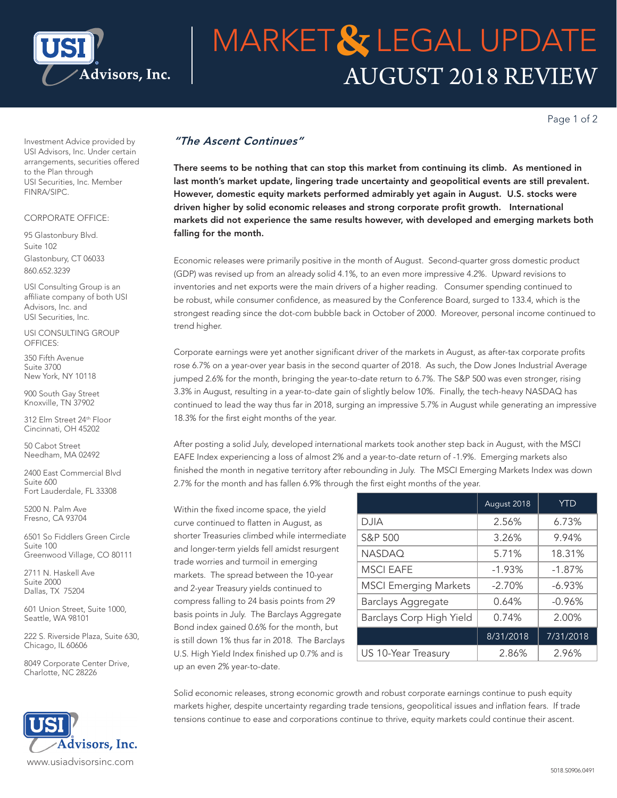

# AUGUST 2018 REVIEW **MARKET& LEGAL UPDATE**

Page 1 of 2

Investment Advice provided by USI Advisors, Inc. Under certain arrangements, securities offered to the Plan through USI Securities, Inc. Member FINRA/SIPC.

### CORPORATE OFFICE:

95 Glastonbury Blvd. Suite 102 Glastonbury, CT 06033 860.652.3239

USI Consulting Group is an affiliate company of both USI Advisors, Inc. and USI Securities, Inc.

USI CONSULTING GROUP OFFICES:

350 Fifth Avenue Suite 3700 New York, NY 10118

900 South Gay Street Knoxville, TN 37902

312 Elm Street 24th Floor Cincinnati, OH 45202

50 Cabot Street Needham, MA 02492

2400 East Commercial Blvd Suite 600 Fort Lauderdale, FL 33308

5200 N. Palm Ave Fresno, CA 93704

6501 So Fiddlers Green Circle Suite 100 Greenwood Village, CO 80111

2711 N. Haskell Ave Suite 2000 Dallas, TX 75204

601 Union Street, Suite 1000, Seattle, WA 98101

222 S. Riverside Plaza, Suite 630, Chicago, IL 60606

8049 Corporate Center Drive, Charlotte, NC 28226



## *"The Ascent Continues"*

There seems to be nothing that can stop this market from continuing its climb. As mentioned in last month's market update, lingering trade uncertainty and geopolitical events are still prevalent. However, domestic equity markets performed admirably yet again in August. U.S. stocks were driven higher by solid economic releases and strong corporate profit growth. International markets did not experience the same results however, with developed and emerging markets both falling for the month.

Economic releases were primarily positive in the month of August. Second-quarter gross domestic product (GDP) was revised up from an already solid 4.1%, to an even more impressive 4.2%. Upward revisions to inventories and net exports were the main drivers of a higher reading. Consumer spending continued to be robust, while consumer confidence, as measured by the Conference Board, surged to 133.4, which is the strongest reading since the dot-com bubble back in October of 2000. Moreover, personal income continued to trend higher.

Corporate earnings were yet another significant driver of the markets in August, as after-tax corporate profits rose 6.7% on a year-over year basis in the second quarter of 2018. As such, the Dow Jones Industrial Average jumped 2.6% for the month, bringing the year-to-date return to 6.7%. The S&P 500 was even stronger, rising 3.3% in August, resulting in a year-to-date gain of slightly below 10%. Finally, the tech-heavy NASDAQ has continued to lead the way thus far in 2018, surging an impressive 5.7% in August while generating an impressive 18.3% for the first eight months of the year.

After posting a solid July, developed international markets took another step back in August, with the MSCI EAFE Index experiencing a loss of almost 2% and a year-to-date return of -1.9%. Emerging markets also finished the month in negative territory after rebounding in July. The MSCI Emerging Markets Index was down 2.7% for the month and has fallen 6.9% through the first eight months of the year.

Within the fixed income space, the yield curve continued to flatten in August, as shorter Treasuries climbed while intermediate and longer-term yields fell amidst resurgent trade worries and turmoil in emerging markets. The spread between the 10-year and 2-year Treasury yields continued to compress falling to 24 basis points from 29 basis points in July. The Barclays Aggregate Bond index gained 0.6% for the month, but is still down 1% thus far in 2018. The Barclays U.S. High Yield Index finished up 0.7% and is up an even 2% year-to-date.

|                              | August 2018 | <b>YTD</b> |
|------------------------------|-------------|------------|
| DJIA                         | 2.56%       | 6.73%      |
| S&P 500                      | 3.26%       | 9.94%      |
| <b>NASDAQ</b>                | 5.71%       | 18.31%     |
| <b>MSCI EAFE</b>             | $-1.93%$    | $-1.87%$   |
| <b>MSCI Emerging Markets</b> | $-2.70%$    | $-6.93%$   |
| <b>Barclays Aggregate</b>    | 0.64%       | $-0.96%$   |
| Barclays Corp High Yield     | 0.74%       | 2.00%      |
|                              | 8/31/2018   | 7/31/2018  |
| US 10-Year Treasury          | 2.86%       | 2.96%      |

Solid economic releases, strong economic growth and robust corporate earnings continue to push equity markets higher, despite uncertainty regarding trade tensions, geopolitical issues and inflation fears. If trade tensions continue to ease and corporations continue to thrive, equity markets could continue their ascent.